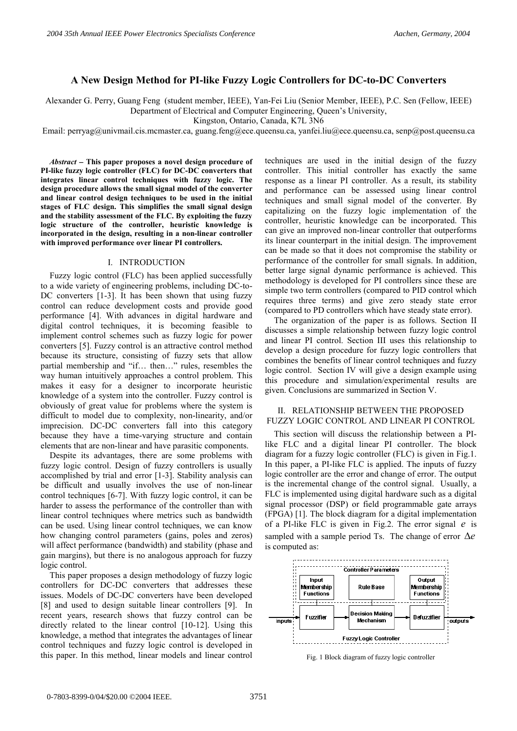# **A New Design Method for PI-like Fuzzy Logic Controllers for DC-to-DC Converters**

Alexander G. Perry, Guang Feng (student member, IEEE), Yan-Fei Liu (Senior Member, IEEE), P.C. Sen (Fellow, IEEE)

Department of Electrical and Computer Engineering, Queen's University,

Kingston, Ontario, Canada, K7L 3N6

Email: perryag@univmail.cis.mcmaster.ca, guang.feng@ece.queensu.ca, yanfei.liu@ece.queensu.ca, senp@post.queensu.ca

*Abstract*  **This paper proposes a novel design procedure of PI-like fuzzy logic controller (FLC) for DC-DC converters that integrates linear control techniques with fuzzy logic. The design procedure allows the small signal model of the converter and linear control design techniques to be used in the initial stages of FLC design. This simplifies the small signal design and the stability assessment of the FLC. By exploiting the fuzzy logic structure of the controller, heuristic knowledge is incorporated in the design, resulting in a non-linear controller with improved performance over linear PI controllers.** 

### I. INTRODUCTION

Fuzzy logic control (FLC) has been applied successfully to a wide variety of engineering problems, including DC-to-DC converters [1-3]. It has been shown that using fuzzy control can reduce development costs and provide good performance [4]. With advances in digital hardware and digital control techniques, it is becoming feasible to implement control schemes such as fuzzy logic for power converters [5]. Fuzzy control is an attractive control method because its structure, consisting of fuzzy sets that allow partial membership and "if… then…" rules, resembles the way human intuitively approaches a control problem. This makes it easy for a designer to incorporate heuristic knowledge of a system into the controller. Fuzzy control is obviously of great value for problems where the system is difficult to model due to complexity, non-linearity, and/or imprecision. DC-DC converters fall into this category because they have a time-varying structure and contain elements that are non-linear and have parasitic components.

Despite its advantages, there are some problems with fuzzy logic control. Design of fuzzy controllers is usually accomplished by trial and error [1-3]. Stability analysis can be difficult and usually involves the use of non-linear control techniques [6-7]. With fuzzy logic control, it can be harder to assess the performance of the controller than with linear control techniques where metrics such as bandwidth can be used. Using linear control techniques, we can know how changing control parameters (gains, poles and zeros) will affect performance (bandwidth) and stability (phase and gain margins), but there is no analogous approach for fuzzy logic control.

This paper proposes a design methodology of fuzzy logic controllers for DC-DC converters that addresses these issues. Models of DC-DC converters have been developed [8] and used to design suitable linear controllers [9]. In recent years, research shows that fuzzy control can be directly related to the linear control [10-12]. Using this knowledge, a method that integrates the advantages of linear control techniques and fuzzy logic control is developed in this paper. In this method, linear models and linear control

techniques are used in the initial design of the fuzzy controller. This initial controller has exactly the same response as a linear PI controller. As a result, its stability and performance can be assessed using linear control techniques and small signal model of the converter. By capitalizing on the fuzzy logic implementation of the controller, heuristic knowledge can be incorporated. This can give an improved non-linear controller that outperforms its linear counterpart in the initial design. The improvement can be made so that it does not compromise the stability or performance of the controller for small signals. In addition, better large signal dynamic performance is achieved. This methodology is developed for PI controllers since these are simple two term controllers (compared to PID control which requires three terms) and give zero steady state error (compared to PD controllers which have steady state error).

The organization of the paper is as follows. Section II discusses a simple relationship between fuzzy logic control and linear PI control. Section III uses this relationship to develop a design procedure for fuzzy logic controllers that combines the benefits of linear control techniques and fuzzy logic control. Section IV will give a design example using this procedure and simulation/experimental results are given. Conclusions are summarized in Section V.

## II. RELATIONSHIP BETWEEN THE PROPOSED FUZZY LOGIC CONTROL AND LINEAR PI CONTROL

This section will discuss the relationship between a PIlike FLC and a digital linear PI controller. The block diagram for a fuzzy logic controller (FLC) is given in Fig.1. In this paper, a PI-like FLC is applied. The inputs of fuzzy logic controller are the error and change of error. The output is the incremental change of the control signal. Usually, a FLC is implemented using digital hardware such as a digital signal processor (DSP) or field programmable gate arrays (FPGA) [1]. The block diagram for a digital implementation of a PI-like FLC is given in Fig.2. The error signal *e* is sampled with a sample period Ts. The change of error  $\Delta e$ is computed as:



Fig. 1 Block diagram of fuzzy logic controller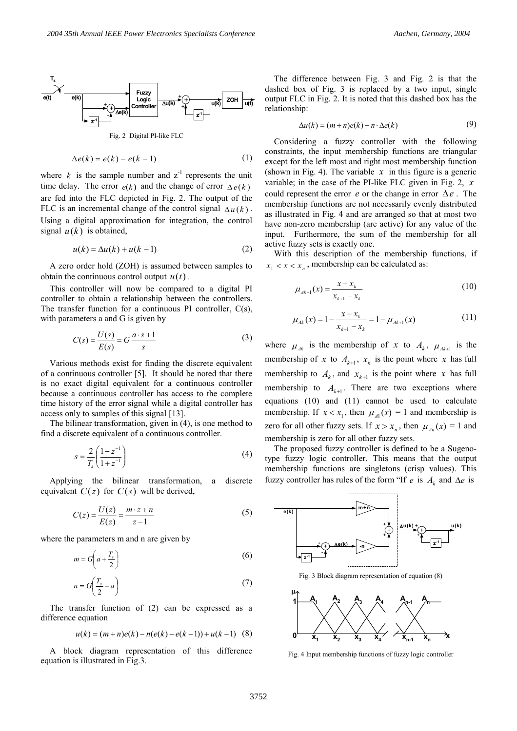

$$
\Delta e(k) = e(k) - e(k-1) \tag{1}
$$

where  $k$  is the sample number and  $z^{-1}$  represents the unit time delay. The error  $e(k)$  and the change of error  $\Delta e(k)$ are fed into the FLC depicted in Fig. 2. The output of the FLC is an incremental change of the control signal  $\Delta u(k)$ . Using a digital approximation for integration, the control signal  $u(k)$  is obtained,

$$
u(k) = \Delta u(k) + u(k-1)
$$
 (2)

A zero order hold (ZOH) is assumed between samples to obtain the continuous control output  $u(t)$ .

This controller will now be compared to a digital PI controller to obtain a relationship between the controllers. The transfer function for a continuous PI controller, C(s), with parameters a and G is given by

$$
C(s) = \frac{U(s)}{E(s)} = G \frac{a \cdot s + 1}{s}
$$
 (3)

Various methods exist for finding the discrete equivalent of a continuous controller [5]. It should be noted that there is no exact digital equivalent for a continuous controller because a continuous controller has access to the complete time history of the error signal while a digital controller has access only to samples of this signal [13].

The bilinear transformation, given in (4), is one method to find a discrete equivalent of a continuous controller.

$$
s = \frac{2}{T_s} \left( \frac{1 - z^{-1}}{1 + z^{-1}} \right)
$$
 (4)

Applying the bilinear transformation, a discrete equivalent  $C(z)$  for  $C(s)$  will be derived,

$$
C(z) = \frac{U(z)}{E(z)} = \frac{m \cdot z + n}{z - 1}
$$
 (5)

where the parameters m and n are given by

$$
m = G\left(a + \frac{T_s}{2}\right) \tag{6}
$$

$$
n = G\left(\frac{T_s}{2} - a\right) \tag{7}
$$

The transfer function of (2) can be expressed as a difference equation

$$
u(k) = (m+n)e(k) - n(e(k) - e(k-1)) + u(k-1)
$$
 (8)

A block diagram representation of this difference equation is illustrated in Fig.3.

The difference between Fig. 3 and Fig. 2 is that the dashed box of Fig. 3 is replaced by a two input, single output FLC in Fig. 2. It is noted that this dashed box has the relationship:

$$
\Delta u(k) = (m+n)e(k) - n \cdot \Delta e(k) \tag{9}
$$

Considering a fuzzy controller with the following constraints, the input membership functions are triangular except for the left most and right most membership function (shown in Fig. 4). The variable  $x$  in this figure is a generic variable; in the case of the PI-like FLC given in Fig. 2, *x* could represent the error  $e$  or the change in error  $\Delta e$ . The membership functions are not necessarily evenly distributed as illustrated in Fig. 4 and are arranged so that at most two have non-zero membership (are active) for any value of the input. Furthermore, the sum of the membership for all active fuzzy sets is exactly one.

With this description of the membership functions, if  $x_1 < x < x_n$ , membership can be calculated as:

$$
\mu_{Ak+1}(x) = \frac{x - x_k}{x_{k+1} - x_k} \tag{10}
$$

$$
\mu_{Ak}(x) = 1 - \frac{x - x_k}{x_{k+1} - x_k} = 1 - \mu_{Ak+1}(x)
$$
\n(11)

where  $\mu_{A_k}$  is the membership of *x* to  $A_k$ ,  $\mu_{A_{k+1}}$  is the membership of *x* to  $A_{k+1}$ ,  $x_k$  is the point where *x* has full membership to  $A_k$ , and  $x_{k+1}$  is the point where x has full membership to  $A_{k+1}$ . There are two exceptions where equations (10) and (11) cannot be used to calculate membership. If  $x < x_1$ , then  $\mu_A(x) = 1$  and membership is zero for all other fuzzy sets. If  $x > x_n$ , then  $\mu_{An}(x) = 1$  and membership is zero for all other fuzzy sets.

The proposed fuzzy controller is defined to be a Sugenotype fuzzy logic controller. This means that the output membership functions are singletons (crisp values). This fuzzy controller has rules of the form "If  $e$  is  $A_k$  and  $\Delta e$  is



Fig. 4 Input membership functions of fuzzy logic controller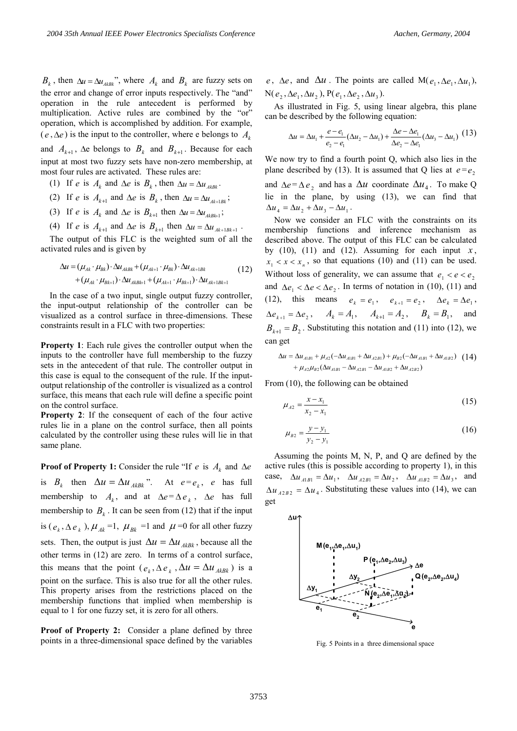$B_k$ , then  $\Delta u = \Delta u_{A k k k}$ ", where  $A_k$  and  $B_k$  are fuzzy sets on the error and change of error inputs respectively. The "and" operation in the rule antecedent is performed by multiplication. Active rules are combined by the "or" operation, which is accomplished by addition. For example,  $(e, \Delta e)$  is the input to the controller, where e belongs to  $A_k$ 

and  $A_{k+1}$ ,  $\Delta e$  belongs to  $B_k$  and  $B_{k+1}$ . Because for each input at most two fuzzy sets have non-zero membership, at most four rules are activated. These rules are:

- (1) If *e* is  $A_k$  and  $\Delta e$  is  $B_k$ , then  $\Delta u = \Delta u_{A k B k}$ .
- (2) If *e* is  $A_{k+1}$  and  $\Delta e$  is  $B_k$ , then  $\Delta u = \Delta u_{Ak+1Bk}$ ;
- (3) If *e* is  $A_k$  and  $\Delta e$  is  $B_{k+1}$  then  $\Delta u = \Delta u_{A k B k+1}$ ;
- (4) If *e* is  $A_{k+1}$  and  $\Delta e$  is  $B_{k+1}$  then  $\Delta u = \Delta u_{Ak+1Bk+1}$ .

The output of this FLC is the weighted sum of all the activated rules and is given by

$$
\Delta u = (\mu_{Ak} \cdot \mu_{Bk}) \cdot \Delta u_{AkBk} + (\mu_{Ak+1} \cdot \mu_{Bk}) \cdot \Delta u_{Ak+1Bk} + (\mu_{Ak} \cdot \mu_{Bk+1}) \cdot \Delta u_{ARBk+1} + (\mu_{Ak+1} \cdot \mu_{Bk+1}) \cdot \Delta u_{Ak+1Bk+1}
$$
(12)

In the case of a two input, single output fuzzy controller, the input-output relationship of the controller can be visualized as a control surface in three-dimensions. These constraints result in a FLC with two properties:

**Property 1**: Each rule gives the controller output when the inputs to the controller have full membership to the fuzzy sets in the antecedent of that rule. The controller output in this case is equal to the consequent of the rule. If the inputoutput relationship of the controller is visualized as a control surface, this means that each rule will define a specific point on the control surface.

**Property 2**: If the consequent of each of the four active rules lie in a plane on the control surface, then all points calculated by the controller using these rules will lie in that same plane.

**Proof of Property 1:** Consider the rule "If *e* is  $A_k$  and  $\Delta e$ 

is  $B_k$  then  $\Delta u = \Delta u_{A k B k}$ ". At  $e = e_k$ , *e* has full membership to  $A_k$ , and at  $\Delta e = \Delta e_k$ ,  $\Delta e$  has full membership to  $B_k$ . It can be seen from (12) that if the input is ( $e_k$ ,  $\Delta e_k$ ),  $\mu_{Ak}$  =1,  $\mu_{Bk}$  =1 and  $\mu$  =0 for all other fuzzy sets. Then, the output is just  $\Delta u = \Delta u_{A k B k}$ , because all the other terms in (12) are zero. In terms of a control surface, this means that the point  $(e_k, \Delta e_k, \Delta u = \Delta u_{A k B k})$  is a point on the surface. This is also true for all the other rules. This property arises from the restrictions placed on the membership functions that implied when membership is equal to 1 for one fuzzy set, it is zero for all others.

**Proof of Property 2:** Consider a plane defined by three points in a three-dimensional space defined by the variables

 $e$ ,  $\Delta e$ , and  $\Delta u$ . The points are called  $M(e_1, \Delta e_1, \Delta u_1)$ ,  $N(e_2, \Delta e_1, \Delta u_2)$ ,  $P(e_1, \Delta e_2, \Delta u_3)$ .

As illustrated in Fig. 5, using linear algebra, this plane can be described by the following equation:

$$
\Delta u = \Delta u_1 + \frac{e - e_1}{e_2 - e_1} (\Delta u_2 - \Delta u_1) + \frac{\Delta e - \Delta e_1}{\Delta e_2 - \Delta e_1} (\Delta u_3 - \Delta u_1) \tag{13}
$$

We now try to find a fourth point Q, which also lies in the plane described by (13). It is assumed that Q lies at  $e = e_2$ and  $\Delta e = \Delta e$ , and has a  $\Delta u$  coordinate  $\Delta u_4$ . To make Q lie in the plane, by using (13), we can find that  $\Delta u_4 = \Delta u_2 + \Delta u_3 - \Delta u_1$ .

Now we consider an FLC with the constraints on its membership functions and inference mechanism as described above. The output of this FLC can be calculated by (10), (11) and (12). Assuming for each input  $x$ ,  $x_1 < x < x_n$ , so that equations (10) and (11) can be used. Without loss of generality, we can assume that  $e_1 < e < e_2$ and  $\Delta e_1 < \Delta e < \Delta e_2$ . In terms of notation in (10), (11) and (12), this means  $e_k = e_1$ ,  $e_{k+1} = e_2$ ,  $\Delta e_k = \Delta e_1$ ,  $\Delta e_{k+1} = \Delta e_2$ ,  $A_k = A_1$ ,  $A_{k+1} = A_2$ ,  $B_k = B_1$ , and  $B_{k+1} = B_2$ . Substituting this notation and (11) into (12), we can get

$$
\Delta u = \Delta u_{A1B1} + \mu_{A2}(-\Delta u_{A1B1} + \Delta u_{A2B1}) + \mu_{B2}(-\Delta u_{A1B1} + \Delta u_{A1B2})
$$
(14)  
+  $\mu_{A2}\mu_{B2}(\Delta u_{A1B1} - \Delta u_{A2B1} - \Delta u_{A1B2} + \Delta u_{A2B2})$ 

From (10), the following can be obtained

$$
\mu_{A2} = \frac{x - x_1}{x_2 - x_1} \tag{15}
$$

$$
\mu_{B2} = \frac{y - y_1}{y_2 - y_1} \tag{16}
$$

Assuming the points M, N, P, and Q are defined by the active rules (this is possible according to property 1), in this case,  $\Delta u_{A1B1} = \Delta u_1$ ,  $\Delta u_{A2B1} = \Delta u_2$ ,  $\Delta u_{A1B2} = \Delta u_3$ , and  $\Delta u_{A2B2} = \Delta u_4$ . Substituting these values into (14), we can get





Fig. 5 Points in a three dimensional space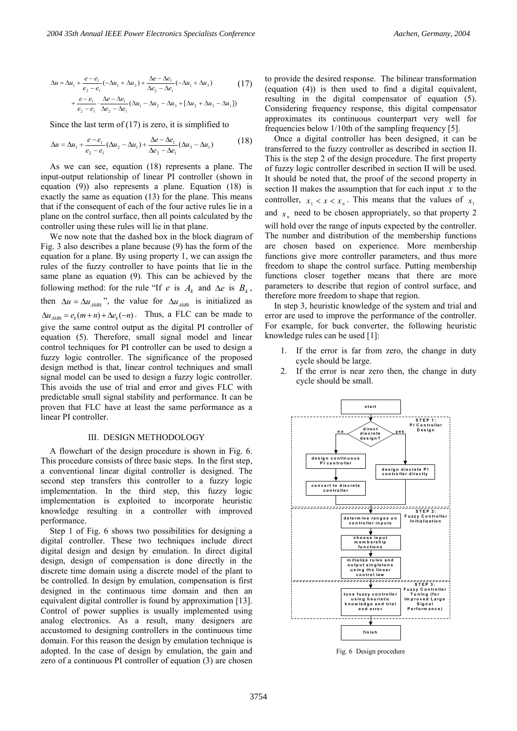$$
\Delta u = \Delta u_1 + \frac{e - e_1}{e_2 - e_1} \left( -\Delta u_1 + \Delta u_2 \right) + \frac{\Delta e - \Delta e_1}{\Delta e_2 - \Delta e_1} \left( -\Delta u_1 + \Delta u_3 \right) \tag{17}
$$
\n
$$
+ \frac{e - e_1}{e_2 - e_1} \cdot \frac{\Delta e - \Delta e_1}{\Delta e_2 - \Delta e_1} \left( \Delta u_1 - \Delta u_2 - \Delta u_3 + [\Delta u_2 + \Delta u_3 - \Delta u_1] \right)
$$

Since the last term of  $(17)$  is zero, it is simplified to

$$
\Delta u = \Delta u_1 + \frac{e - e_1}{e_2 - e_1} (\Delta u_2 - \Delta u_1) + \frac{\Delta e - \Delta e_1}{\Delta e_2 - \Delta e_1} (\Delta u_3 - \Delta u_1)
$$
(18)

As we can see, equation (18) represents a plane. The input-output relationship of linear PI controller (shown in equation (9)) also represents a plane. Equation (18) is exactly the same as equation (13) for the plane. This means that if the consequent of each of the four active rules lie in a plane on the control surface, then all points calculated by the controller using these rules will lie in that plane.

We now note that the dashed box in the block diagram of Fig. 3 also describes a plane because (9) has the form of the equation for a plane. By using property 1, we can assign the rules of the fuzzy controller to have points that lie in the same plane as equation (9). This can be achieved by the following method: for the rule "If *e* is  $A_k$  and  $\Delta e$  is  $B_k$ , then  $\Delta u = \Delta u_{A k B k}$ <sup>2</sup>, the value for  $\Delta u_{A k B k}$  is initialized as  $\Delta u_{AEBk} = e_k(m+n) + \Delta e_k(-n)$ . Thus, a FLC can be made to give the same control output as the digital PI controller of equation (5). Therefore, small signal model and linear control techniques for PI controller can be used to design a fuzzy logic controller. The significance of the proposed design method is that, linear control techniques and small signal model can be used to design a fuzzy logic controller. This avoids the use of trial and error and gives FLC with predictable small signal stability and performance. It can be proven that FLC have at least the same performance as a linear PI controller.

#### III. DESIGN METHODOLOGY

A flowchart of the design procedure is shown in Fig. 6. This procedure consists of three basic steps. In the first step, a conventional linear digital controller is designed. The second step transfers this controller to a fuzzy logic implementation. In the third step, this fuzzy logic implementation is exploited to incorporate heuristic knowledge resulting in a controller with improved performance.

Step 1 of Fig. 6 shows two possibilities for designing a digital controller. These two techniques include direct digital design and design by emulation. In direct digital design, design of compensation is done directly in the discrete time domain using a discrete model of the plant to be controlled. In design by emulation, compensation is first designed in the continuous time domain and then an equivalent digital controller is found by approximation [13]. Control of power supplies is usually implemented using analog electronics. As a result, many designers are accustomed to designing controllers in the continuous time domain. For this reason the design by emulation technique is adopted. In the case of design by emulation, the gain and zero of a continuous PI controller of equation (3) are chosen

to provide the desired response. The bilinear transformation (equation (4)) is then used to find a digital equivalent, resulting in the digital compensator of equation (5). Considering frequency response, this digital compensator approximates its continuous counterpart very well for frequencies below 1/10th of the sampling frequency [5].

Once a digital controller has been designed, it can be transferred to the fuzzy controller as described in section II. This is the step 2 of the design procedure. The first property of fuzzy logic controller described in section II will be used. It should be noted that, the proof of the second property in section II makes the assumption that for each input *x* to the controller,  $x_1 < x < x_n$ . This means that the values of  $x_1$ and  $x_n$  need to be chosen appropriately, so that property 2 will hold over the range of inputs expected by the controller. The number and distribution of the membership functions are chosen based on experience. More membership functions give more controller parameters, and thus more freedom to shape the control surface. Putting membership functions closer together means that there are more parameters to describe that region of control surface, and therefore more freedom to shape that region.

In step 3, heuristic knowledge of the system and trial and error are used to improve the performance of the controller. For example, for buck converter, the following heuristic knowledge rules can be used [1]:

- 1. If the error is far from zero, the change in duty cycle should be large.
- 2. If the error is near zero then, the change in duty cycle should be small.



Fig. 6 Design procedure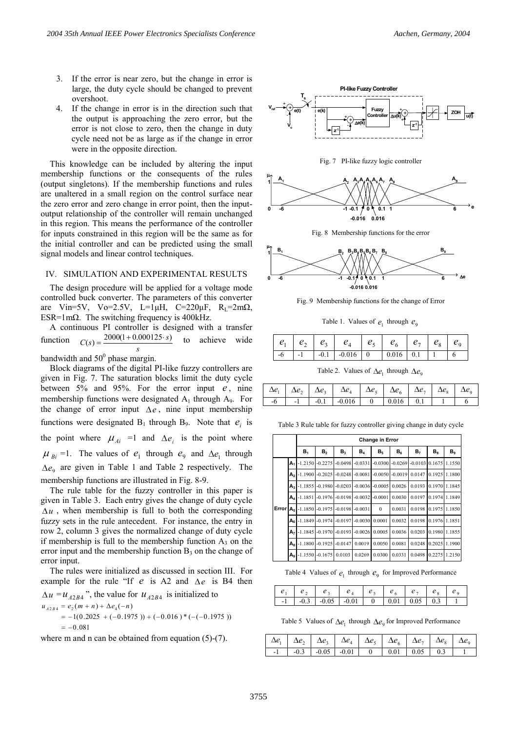- 3. If the error is near zero, but the change in error is large, the duty cycle should be changed to prevent overshoot.
- 4. If the change in error is in the direction such that the output is approaching the zero error, but the error is not close to zero, then the change in duty cycle need not be as large as if the change in error were in the opposite direction.

This knowledge can be included by altering the input membership functions or the consequents of the rules (output singletons). If the membership functions and rules are unaltered in a small region on the control surface near the zero error and zero change in error point, then the inputoutput relationship of the controller will remain unchanged in this region. This means the performance of the controller for inputs constrained in this region will be the same as for the initial controller and can be predicted using the small signal models and linear control techniques.

#### IV. SIMULATION AND EXPERIMENTAL RESULTS

The design procedure will be applied for a voltage mode controlled buck converter. The parameters of this converter are Vin=5V, Vo=2.5V, L=1 $\mu$ H, C=220 $\mu$ F, R<sub>L</sub>=2m $\Omega$ , ESR=1m $\Omega$ . The switching frequency is 400kHz.

A continuous PI controller is designed with a transfer function *s*  $C(s) = \frac{2000(1+0.000125 \cdot s)}{s}$  to achieve wide bandwidth and  $50^{\circ}$  phase margin.

Block diagrams of the digital PI-like fuzzy controllers are given in Fig. 7. The saturation blocks limit the duty cycle between  $5\%$  and  $95\%$ . For the error input  $e$ , nine membership functions were designated  $A_1$  through  $A_9$ . For the change of error input  $\Delta e$ , nine input membership functions were designated  $B_1$  through  $B_9$ . Note that  $e_i$  is the point where  $\mu_{Ai}$  =1 and  $\Delta e_i$  is the point where  $\mu_{Bi}$  =1. The values of  $e_1$  through  $e_9$  and  $\Delta e_1$  through  $\Delta e_{\varphi}$  are given in Table 1 and Table 2 respectively. The membership functions are illustrated in Fig. 8-9.

The rule table for the fuzzy controller in this paper is given in Table 3. Each entry gives the change of duty cycle  $\Delta u$ , when membership is full to both the corresponding fuzzy sets in the rule antecedent. For instance, the entry in row 2, column 3 gives the normalized change of duty cycle if membership is full to the membership function  $A_3$  on the error input and the membership function  $B_3$  on the change of error input.

The rules were initialized as discussed in section III. For example for the rule "If  $e$  is A2 and  $\Delta e$  is B4 then

 $\Delta u = u_{A2B4}$ , the value for  $u_{A2B4}$  is initialized to  $=-0.081$  $= -1(0.2025 + (-0.1975)) + (-0.016) * (-(-0.1975))$  $u_{A2B4} = e_2(m+n) + \Delta e_4(-n)$ 

where m and n can be obtained from equation  $(5)-(7)$ .







Fig. 8 Membership functions for the error



Fig. 9 Membership functions for the change of Error

Table 1. Values of  $e_1$  through  $e_0$ 

|  | $e_1$   $e_2$   $e_3$   $e_4$   $e_5$   $e_6$   $e_7$   $e_8$ |  |  |  |
|--|---------------------------------------------------------------|--|--|--|
|  |                                                               |  |  |  |

Table 2. Values of  $\Delta e_1$  through  $\Delta e_9$ 

|  | $\left[\begin{array}{c c c c} \Delta e_1 & \Delta e_2 & \Delta e_3 & \Delta e_4 & \Delta e_5 & \Delta e_6 & \Delta e_7 & \Delta e_8 & \Delta e_9 \end{array}\right]$ |  |  |  |
|--|----------------------------------------------------------------------------------------------------------------------------------------------------------------------|--|--|--|
|  |                                                                                                                                                                      |  |  |  |

Table 3 Rule table for fuzzy controller giving change in duty cycle

|       |              |                    | <b>Change in Error</b> |                |                    |                |                    |                |               |                |  |
|-------|--------------|--------------------|------------------------|----------------|--------------------|----------------|--------------------|----------------|---------------|----------------|--|
|       |              | B <sub>1</sub>     | B <sub>2</sub>         | B <sub>3</sub> | $B_4$              | B <sub>5</sub> | $B_6$              | B <sub>7</sub> | $B_8$         | B <sub>9</sub> |  |
|       | А.           |                    | $-1.2150 - 0.2275$     | $-0.0498$      | $-0.0331$          | $-0.0300$      | $-0.0269$          | $-0.0103$      |               | 0.1675 1.1550  |  |
|       | A۵           |                    | $-1.1900 - 0.2025$     |                | $-0.0248 - 0.0081$ |                | $-0.0050 - 0.0019$ | 0.0147         |               | 0.1925 1.1800  |  |
|       | А,           |                    | $-1.1855 - 0.1980$     | $-0.0203$      | $-0.0036$          | $-0.0005$      | 0.0026             | 0.0193         |               | 0.1970 1.1845  |  |
|       | A۵           |                    | $-1.1851 - 0.1976$     |                | $-0.0198 - 0.0032$ | $-0.0001$      | 0.0030             | 0.0197         |               | 0.1974 1.1849  |  |
| Error | $A_{\kappa}$ |                    | $-1.1850 - 0.1975$     |                | $-0.0198 - 0.0031$ | $\Omega$       | 0.0031             | 0.0198         | 0 1 9 7 5     | 1.1850         |  |
|       | Αĸ           | $-1.1849 - 0.1974$ |                        | $-0.0197$      | $-0.0030$          | 0.0001         | 0.0032             | 0.0198         | 0.1976 1.1851 |                |  |
|       | А,           | $-1.1845$          | $-0.1970$              | $-0.0193$      | $-0.0026$          | 0.0005         | 0.0036             | 0.0203         |               | 0.1980 1.1855  |  |
|       | $A_{\rm R}$  | $-1.1800$          | $-0.1925$              | $-0.0147$      | 0.0019             | 0.0050         | 0.0081             | 0.0248         | 0.2025        | 1 1900         |  |
|       | А,           |                    | $-1.1550 - 0.1675$     | 0.0103         | 0.0269             | 0.0300         | 0.0331             | 0.0498         | 0.2275        | 1.2150         |  |

Table 4 Values of  $e_1$  through  $e_0$  for Improved Performance

| e <sub>1</sub> | e <sub>2</sub> |                                    |  | $e_5$ $e_6$ $e_7$ |                   |  |
|----------------|----------------|------------------------------------|--|-------------------|-------------------|--|
|                |                | $-1$ $-0.3$ $-0.05$ $-0.01$ 0 0.01 |  |                   | $0.05 \qquad 0.3$ |  |

Table 5 Values of  $\Delta e_1$  through  $\Delta e_9$  for Improved Performance

|  |  | $\left[\begin{array}{c c c c} \Delta e_1 & \Delta e_2 & \Delta e_3 & \Delta e_4 & \Delta e_5 & \Delta e_6 & \Delta e_7 & \Delta e_8 & \Delta e_9 \end{array}\right]$ |  |  |
|--|--|----------------------------------------------------------------------------------------------------------------------------------------------------------------------|--|--|
|  |  | $-1$ $-0.3$ $-0.05$ $-0.01$ 0 0.01 0.05 0.3                                                                                                                          |  |  |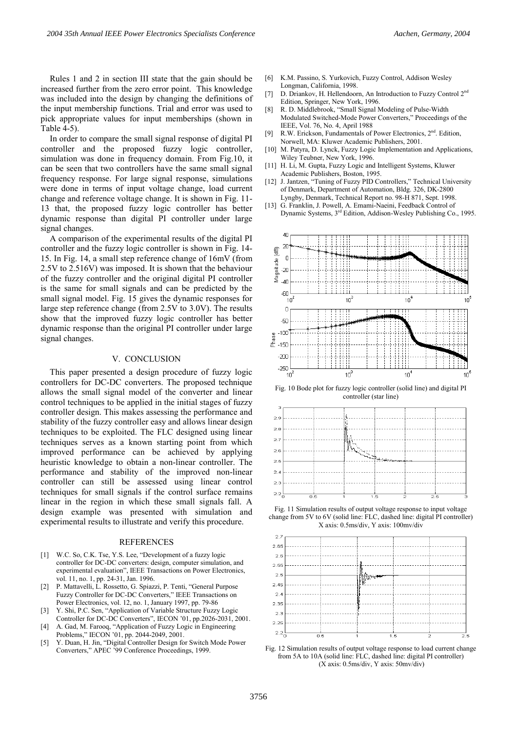Rules 1 and 2 in section III state that the gain should be increased further from the zero error point. This knowledge was included into the design by changing the definitions of the input membership functions. Trial and error was used to pick appropriate values for input memberships (shown in Table 4-5).

In order to compare the small signal response of digital PI controller and the proposed fuzzy logic controller, simulation was done in frequency domain. From Fig.10, it can be seen that two controllers have the same small signal frequency response. For large signal response, simulations were done in terms of input voltage change, load current change and reference voltage change. It is shown in Fig. 11- 13 that, the proposed fuzzy logic controller has better dynamic response than digital PI controller under large signal changes.

A comparison of the experimental results of the digital PI controller and the fuzzy logic controller is shown in Fig. 14- 15. In Fig. 14, a small step reference change of 16mV (from 2.5V to 2.516V) was imposed. It is shown that the behaviour of the fuzzy controller and the original digital PI controller is the same for small signals and can be predicted by the small signal model. Fig. 15 gives the dynamic responses for large step reference change (from 2.5V to 3.0V). The results show that the improved fuzzy logic controller has better dynamic response than the original PI controller under large signal changes.

## V. CONCLUSION

This paper presented a design procedure of fuzzy logic controllers for DC-DC converters. The proposed technique allows the small signal model of the converter and linear control techniques to be applied in the initial stages of fuzzy controller design. This makes assessing the performance and stability of the fuzzy controller easy and allows linear design techniques to be exploited. The FLC designed using linear techniques serves as a known starting point from which improved performance can be achieved by applying heuristic knowledge to obtain a non-linear controller. The performance and stability of the improved non-linear controller can still be assessed using linear control techniques for small signals if the control surface remains linear in the region in which these small signals fall. A design example was presented with simulation and experimental results to illustrate and verify this procedure.

#### REFERENCES

- [1] W.C. So, C.K. Tse, Y.S. Lee, "Development of a fuzzy logic controller for DC-DC converters: design, computer simulation, and experimental evaluation", IEEE Transactions on Power Electronics, vol. 11, no. 1, pp. 24-31, Jan. 1996.
- [2] P. Mattavelli, L. Rossetto, G. Spiazzi, P. Tenti, "General Purpose Fuzzy Controller for DC-DC Converters," IEEE Transactions on Power Electronics, vol. 12, no. 1, January 1997, pp. 79-86
- Y. Shi, P.C. Sen, "Application of Variable Structure Fuzzy Logic Controller for DC-DC Converters", IECON '01, pp.2026-2031, 2001.
- [4] A. Gad, M. Farooq, "Application of Fuzzy Logic in Engineering Problems," IECON '01, pp. 2044-2049, 2001.
- [5] Y. Duan, H. Jin, "Digital Controller Design for Switch Mode Power Converters," APEC '99 Conference Proceedings, 1999.
- [6] K.M. Passino, S. Yurkovich, Fuzzy Control, Addison Wesley Longman, California, 1998.
- [7] D. Driankov, H. Hellendoorn, An Introduction to Fuzzy Control 2<sup>nd</sup> Edition, Springer, New York, 1996.
- [8] R. D. Middlebrook, "Small Signal Modeling of Pulse-Width Modulated Switched-Mode Power Converters," Proceedings of the IEEE, Vol. 76, No. 4, April 1988
- [9] R.W. Erickson, Fundamentals of Power Electronics, 2<sup>nd</sup>. Edition, Norwell, MA: Kluwer Academic Publishers, 2001.
- [10] M. Patyra, D. Lynck, Fuzzy Logic Implementation and Applications, Wiley Teubner, New York, 1996.
- [11] H. Li, M. Gupta, Fuzzy Logic and Intelligent Systems, Kluwer Academic Publishers, Boston, 1995.
- [12] J. Jantzen, "Tuning of Fuzzy PID Controllers," Technical University of Denmark, Department of Automation, Bldg. 326, DK-2800 Lyngby, Denmark, Technical Report no. 98-H 871, Sept. 1998.
- [13] G. Franklin, J. Powell, A. Emami-Naeini, Feedback Control of Dynamic Systems, 3rd Edition, Addison-Wesley Publishing Co., 1995.



Fig. 10 Bode plot for fuzzy logic controller (solid line) and digital PI controller (star line)



Fig. 11 Simulation results of output voltage response to input voltage change from 5V to 6V (solid line: FLC, dashed line: digital PI controller) X axis: 0.5ms/div, Y axis: 100mv/div



Fig. 12 Simulation results of output voltage response to load current change from 5A to 10A (solid line: FLC, dashed line: digital PI controller) (X axis: 0.5ms/div, Y axis: 50mv/div)